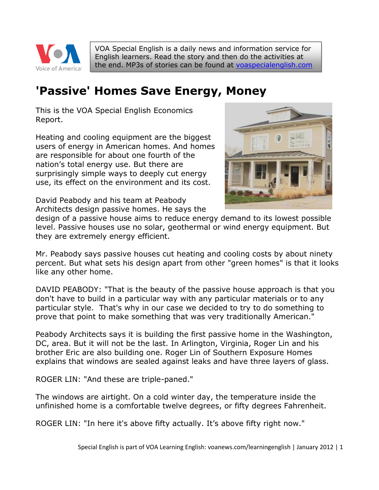

VOA Special English is a daily news and information service for English learners. Read the story and then do the activities at the end. MP3s of stories can be found at [voaspecialenglish.com](http://voaspecialenglish.com/)

# **'Passive' Homes Save Energy, Money**

This is the VOA Special English Economics Report.

Heating and cooling equipment are the biggest users of energy in American homes. And homes are responsible for about one fourth of the nation's total energy use. But there are surprisingly simple ways to deeply cut energy use, its effect on the environment and its cost.



David Peabody and his team at Peabody Architects design passive homes. He says the

design of a passive house aims to reduce energy demand to its lowest possible level. Passive houses use no solar, geothermal or wind energy equipment. But they are extremely energy efficient.

Mr. Peabody says passive houses cut heating and cooling costs by about ninety percent. But what sets his design apart from other "green homes" is that it looks like any other home.

DAVID PEABODY: "That is the beauty of the passive house approach is that you don't have to build in a particular way with any particular materials or to any particular style. That's why in our case we decided to try to do something to prove that point to make something that was very traditionally American."

Peabody Architects says it is building the first passive home in the Washington, DC, area. But it will not be the last. In Arlington, Virginia, Roger Lin and his brother Eric are also building one. Roger Lin of Southern Exposure Homes explains that windows are sealed against leaks and have three layers of glass.

ROGER LIN: "And these are triple-paned."

The windows are airtight. On a cold winter day, the temperature inside the unfinished home is a comfortable twelve degrees, or fifty degrees Fahrenheit.

ROGER LIN: "In here it's above fifty actually. It's above fifty right now."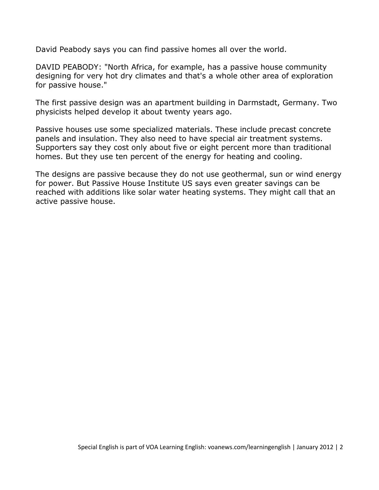David Peabody says you can find passive homes all over the world.

DAVID PEABODY: "North Africa, for example, has a passive house community designing for very hot dry climates and that's a whole other area of exploration for passive house."

The first passive design was an apartment building in Darmstadt, Germany. Two physicists helped develop it about twenty years ago.

Passive houses use some specialized materials. These include precast concrete panels and insulation. They also need to have special air treatment systems. Supporters say they cost only about five or eight percent more than traditional homes. But they use ten percent of the energy for heating and cooling.

The designs are passive because they do not use geothermal, sun or wind energy for power. But Passive House Institute US says even greater savings can be reached with additions like solar water heating systems. They might call that an active passive house.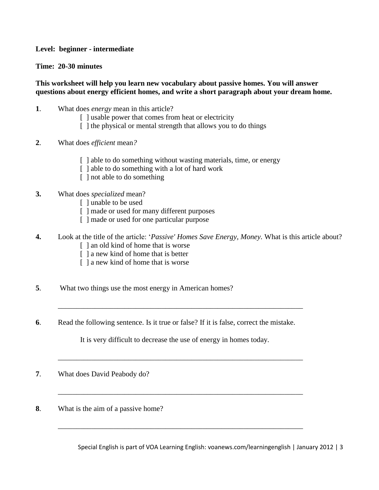#### **Level: beginner - intermediate**

#### **Time: 20-30 minutes**

#### **This worksheet will help you learn new vocabulary about passive homes. You will answer questions about energy efficient homes, and write a short paragraph about your dream home.**

- **1**. What does *energy* mean in this article?
	- [ ] usable power that comes from heat or electricity
	- [] the physical or mental strength that allows you to do things
- **2**. What does *efficient* mean*?*
	- [] able to do something without wasting materials, time, or energy
	- [] able to do something with a lot of hard work
	- [ ] not able to do something

### **3.** What does *specialized* mean?

- [ ] unable to be used
- [ ] made or used for many different purposes
- [ ] made or used for one particular purpose
- **4.** Look at the title of the article: '*Passive' Homes Save Energy, Money.* What is this article about? [ ] an old kind of home that is worse
	-
	- [ ] a new kind of home that is better
	- [ ] a new kind of home that is worse
- **5**. What two things use the most energy in American homes?
- **6**. Read the following sentence. Is it true or false? If it is false, correct the mistake.

It is very difficult to decrease the use of energy in homes today.

\_\_\_\_\_\_\_\_\_\_\_\_\_\_\_\_\_\_\_\_\_\_\_\_\_\_\_\_\_\_\_\_\_\_\_\_\_\_\_\_\_\_\_\_\_\_\_\_\_\_\_\_\_\_\_\_\_\_\_\_\_\_\_\_\_\_

\_\_\_\_\_\_\_\_\_\_\_\_\_\_\_\_\_\_\_\_\_\_\_\_\_\_\_\_\_\_\_\_\_\_\_\_\_\_\_\_\_\_\_\_\_\_\_\_\_\_\_\_\_\_\_\_\_\_\_\_\_\_\_\_\_\_

\_\_\_\_\_\_\_\_\_\_\_\_\_\_\_\_\_\_\_\_\_\_\_\_\_\_\_\_\_\_\_\_\_\_\_\_\_\_\_\_\_\_\_\_\_\_\_\_\_\_\_\_\_\_\_\_\_\_\_\_\_\_\_\_\_\_

\_\_\_\_\_\_\_\_\_\_\_\_\_\_\_\_\_\_\_\_\_\_\_\_\_\_\_\_\_\_\_\_\_\_\_\_\_\_\_\_\_\_\_\_\_\_\_\_\_\_\_\_\_\_\_\_\_\_\_\_\_\_\_\_\_\_

- **7**. What does David Peabody do?
- **8**. What is the aim of a passive home?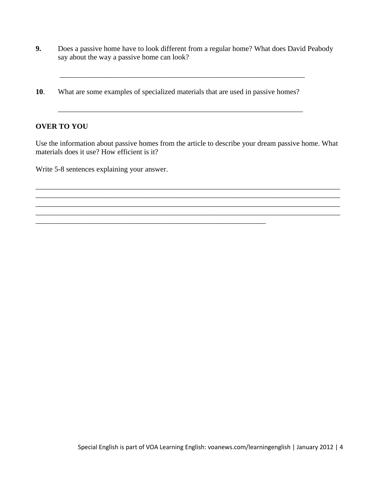- **9.** Does a passive home have to look different from a regular home? What does David Peabody say about the way a passive home can look?
- **10**. What are some examples of specialized materials that are used in passive homes?

\_\_\_\_\_\_\_\_\_\_\_\_\_\_\_\_\_\_\_\_\_\_\_\_\_\_\_\_\_\_\_\_\_\_\_\_\_\_\_\_\_\_\_\_\_\_\_\_\_\_\_\_\_\_\_\_\_\_\_\_\_\_

## **OVER TO YOU**

Use the information about passive homes from the article to describe your dream passive home. What materials does it use? How efficient is it?

\_\_\_\_\_\_\_\_\_\_\_\_\_\_\_\_\_\_\_\_\_\_\_\_\_\_\_\_\_\_\_\_\_\_\_\_\_\_\_\_\_\_\_\_\_\_\_\_\_\_\_\_\_\_\_\_\_\_\_\_\_\_\_\_\_\_\_\_\_\_\_\_\_\_\_\_\_\_\_\_\_\_ \_\_\_\_\_\_\_\_\_\_\_\_\_\_\_\_\_\_\_\_\_\_\_\_\_\_\_\_\_\_\_\_\_\_\_\_\_\_\_\_\_\_\_\_\_\_\_\_\_\_\_\_\_\_\_\_\_\_\_\_\_\_\_\_\_\_\_\_\_\_\_\_\_\_\_\_\_\_\_\_\_\_ \_\_\_\_\_\_\_\_\_\_\_\_\_\_\_\_\_\_\_\_\_\_\_\_\_\_\_\_\_\_\_\_\_\_\_\_\_\_\_\_\_\_\_\_\_\_\_\_\_\_\_\_\_\_\_\_\_\_\_\_\_\_\_\_\_\_\_\_\_\_\_\_\_\_\_\_\_\_\_\_\_\_

\_\_\_\_\_\_\_\_\_\_\_\_\_\_\_\_\_\_\_\_\_\_\_\_\_\_\_\_\_\_\_\_\_\_\_\_\_\_\_\_\_\_\_\_\_\_\_\_\_\_\_\_\_\_\_\_\_\_\_\_\_\_\_\_\_\_

Write 5-8 sentences explaining your answer.